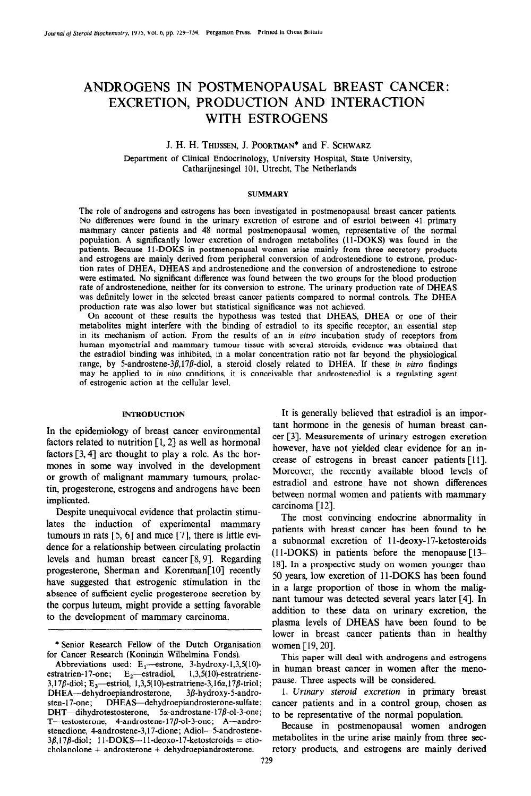# **ANDROGENS IN POSTMENOPAUSAL BREAST CANCER: EXCRETION, PRODUCTION AND INTERACTION WITH ESTROGENS**

## J. H. H. **THIJSSEN, J. POORTMAN\*** and F. **SCHWARZ**

Department of Clinical Endocrinology, University Hospital, State University, Catharijnesingel 101, Utrecht, The Netherlands

#### **SUMMARY**

The role of androgens and estrogens has been investigated in postmenopausal breast cancer patients. No differences were found in the urinary excretion of estrone and of estriol between 41 primary mammary cancer patients and 48 normal postmenopausal women, representative of the normal population. A significantly lower excretion of androgen metabolites (ll-DOKS) was found in the patients. Because ll-DOKS in postmenopausal women arise mainly from three secretory products and estrogens are mainly derived from peripheral conversion of androstenedione to estrone, production rates of DHEA, DHEAS and androstenedione and the conversion of androstenedione to estrone were estimated. No significant difference was found between the two groups for the blood production rate of androstenedione, neither for its conversion to estrone. The urinary production rate of DHEAS was definitely lower in the selected breast cancer patients compared to normal controls. The DHEA production rate was also lower but statistical significance was not achieved.

On account of these results the hypothesis was tested that DHEAS, DHEA or one of their metabolites might interfere with the binding of estradiol to its specific receptor, an essential step in its mechanism of action. From the results of an in *vitro* incubation study of receptors from human myometrial and mammary tumour tissue with several steroids, evidence was obtained that the estradiol binding was inhibited, in a molar concentration ratio not far beyond the physiological range, by 5-androstene-3 $\beta$ ,17 $\beta$ -diol, a steroid closely related to DHEA. If these in vitro findings may be applied to in *uiuo* conditions, it is conceivable that androstenediol is a regulating agent of estrogenic action at the cellular level.

#### **INTRODUCTION**

In the epidemiology of breast cancer environmental factors related to nutrition  $[1, 2]$  as well as hormonal factors [3,4] are thought to play a role. As the hormones in some way involved in the development or growth of malignant mammary tumours, prolactin, progesterone, estrogens and androgens have been implicated.

Despite unequivocal evidence that prolactin stimulates the induction of experimental mammary tumours in rats  $[5, 6]$  and mice  $[7]$ , there is little evidence for a relationship between circulating prolactin levels and human breast cancer  $[8, 9]$ . Regarding progesterone, Sherman and Korenman[lO] recently have suggested that estrogenic stimulation in the absence of sufficient cyclic progesterone secretion by the corpus luteum, might provide a setting favorable to the development of mammary carcinoma.

It is generally believed that estradiol is an important hormone in the genesis of human breast cancer [3]. Measurements of urinary estrogen excretion however, have not yielded clear evidence for an increase of estrogens in breast cancer patients [ll]. Moreover, the recently available blood levels of estradiol and estrone have not shown differences between normal women and patients with mammary carcinoma [ 121.

The most convincing endocrine abnormality in patients with breast cancer has been found to be a subnormal excretion of 11-deoxy-17-ketosteroids  $(11-DOKS)$  in patients before the menopause [13-18]. In a prospective study on women younger than 50 years, low excretion of ll-DOKS has been found in a large proportion of those in whom the malignant tumour was detected several years later [4]. In addition to these data on urinary excretion, the plasma levels of DHEAS have been found to be lower in breast cancer patients than in healthy women [19, 20].

This paper will deal with androgens and estrogens in human breast cancer in women after the menopause. Three aspects will be considered.

1. *Urinary steroid excretion* in primary breast cancer patients and in a control group, chosen as to be representative of the normal population.

Because in postmenopausal women androgen metabolites in the urine arise mainly from three secretory products, and estrogens are mainly derived

<sup>\*</sup> Senior Research Fellow of the Dutch Organisation for Cancer Research (Koningin Wilhelmina Fonds).

Abbreviations used:  $E_1$ -estrone, 3-hydroxy-1,3,5(10)estratrien-17-one;  $E_2$ —estradiol, 1,3,5(10)-estratriene-3,17 $\beta$ -diol; E<sub>3</sub>—estriol, 1,3,5(10)-estratriene-3,16 $\alpha$ ,17 $\beta$ -triol DHEA-dehydroepiandrosterone,  $3\beta$ -hydroxy-5-androsten-17-one; DHEAS—dehydroepiandrosterone-sulfate; DHT-dihydrotestosterone,  $5\alpha$ -androstane-17 $\beta$ -ol-3-one; T-testosterone, 4-androstene-17 $\beta$ -ol-3-one; A-androstenedione, 4-androstene-3,17-dione; Adiol-5-androstene- $3\beta$ ,17 $\beta$ -diol; 11-DOKS--11-deoxo-17-ketosteroids = etiocholanolone + androsterone + dehydroepiandrosterone.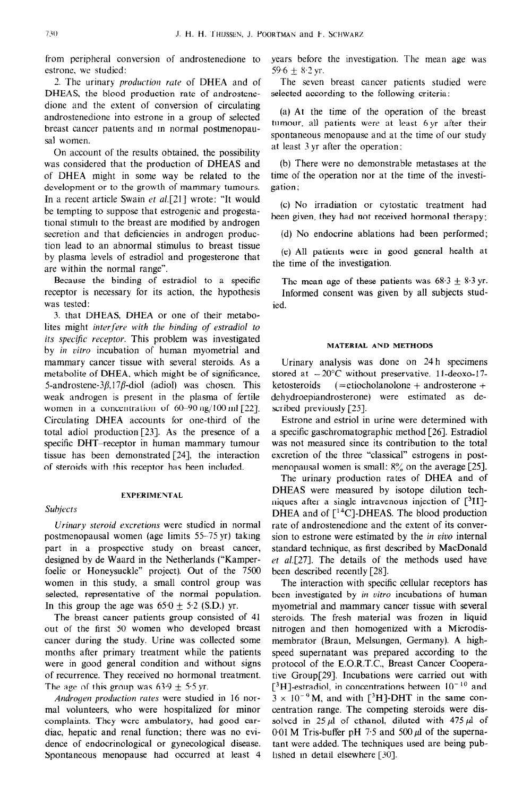estrone, we studied:  $59.6 \pm 8.2$  yr.

2. The urinary *production rute* of DHEA and of DHEAS, the blood production rate of androstenedione and the extent of conversion of circulating androstenedione into estrone in a group of selected breast cancer patients and in normal postmenopausal women.

On account of the results obtained, the possibility was considered that the production of DHEAS and of DHEA might in some way be related to the development or to the growth of mammary tumours. In a recent article Swain et al.[21] wrote: "It would be tempting to suppose that estrogenic and progestational stimuli to the breast are modified by androgen secretion and that deficiencies in androgen production lead to an abnormal stimulus to breast tissue by plasma levels of estradiol and progesterone that are within the normal range".

Because the binding of estradiol to a specific receptor is necessary for its action, the hypothesis was tested:

3. that DHEAS, DHEA or one of their metabolites might *inter,fere with the binding qf estradiol to its specific receptor*. This problem was investigated by *in vitro* incubation of human myometrial and mammary cancer tissue with several steroids. As a metabolite of DHEA, which might be of significance, 5-androstene- $3\beta$ , 17 $\beta$ -diol (adiol) was chosen. This weak androgen is present in the plasma of fertile women in a concentration of  $60-90$  ng/100 ml [22]. Circulating DHEA accounts for one-third of the total adiol production [23]. As the presence of a specific DHT-receptor in human mammary tumour tissue has been demonstrated [24], the interaction of steroids with this receptor has been included.

#### EXPERIMENTAL

### *Subjects*

from peripheral conversion of androstenedione to years before the investigation. The mean age was

The seven breast cancer patients studied were selected according to the following criteria:

(a) At the time of the operation of the breast tumour, all patients were at least 6yr after their spontaneous menopause and at the time of our study at least 3 yr after the operation;

(b) There were no demonstrable metastases at the time of the operation nor at the time of the investigation;

(c) No irradiation or cytostatic treatment had been given, they had not received hormonal therapy;

(d) No endocrine ablations had been performed;

(e) All patients were in good general health at the time of the investigation.

The mean age of these patients was  $68.3 \pm 8.3$  yr. Informed consent was given by all subjects studied.

## MATERIAL **AND METHODS**

Urinary analysis was done on 24 h specimens stored at  $-20^{\circ}$ C without preservative. 11-deoxo-17ketosteroids (=etiocholanolone + androsterone + dehydroepiandrosterone) were estimated as described previously [25].

Estrone and estriol in urine were determined with a specific gaschromatographic method [26]. Estradiol was not measured since its contribution to the total excretion of the three "classical" estrogens in postmenopausal women is small:  $8\%$  on the average [25].

The urinary production rates of DHEA and of DHEAS were measured by isotope dilution techniques after a single intravenous injection of  $[^3H]$ -DHEA and of  $[^{14}C]$ -DHEAS. The blood production rate of androstenedione and the extent of its conversion to estrone were estimated by the *in uiuo* internal standard technique, as first described by MacDonald et al.[27]. The details of the methods used have been described recently [28].

The interaction with specific cellular receptors has been investigated by *in vitro* incubations of human myometrial and mammary cancer tissue with several steroids. The fresh material was frozen in liquid nitrogen and then homogenized with a Microdismembrator (Braun, Melsungen, Germany). A highspeed supernatant was prepared according to the protocol of the E.O.R.T.C., Breast Cancer Cooperative Group[29]. Incubations were carried out with  $[3H]$ -estradiol, in concentrations between  $10^{-10}$  and  $3 \times 10^{-9}$  M, and with  $\lceil^{3}H \rceil$ -DHT in the same concentration range. The competing steroids were dissolved in  $25~\mu$ l of ethanol, diluted with 475  $\mu$ l of 0.01 M Tris-buffer pH 7.5 and 500  $\mu$ l of the supernatant were added. The techniques used are being published in detail elsewhere [30].

*Urinary steroid excretions* were studied in normal postmenopausal women (age limits 55-75 yr) taking part in a prospective study on breast cancer, designed by de Waard in the Netherlands ("Kamperfoelie or Honeysuckle" project). Out of the 7500 women in this study, a small control group was selected, representative of the normal population. In this group the age was  $65.0 \pm 5.2$  (S.D.) yr.

The breast cancer patients group consisted of 41 out of the first 50 women who developed breast cancer during the study. Urine was collected some months after primary treatment while the patients were in good general condition and without signs of recurrence. They received no hormonal treatment. The age of this group was  $63.9 \pm 5.5$  yr.

*Afzdrogen production rutes* were studied in 16 normal volunteers, who were hospitalized for minor complaints. They were ambulatory, had good cardiac, hepatic and renal function; there was no evidence of endocrinological or gynecological disease. Spontaneous menopause had occurred at least 4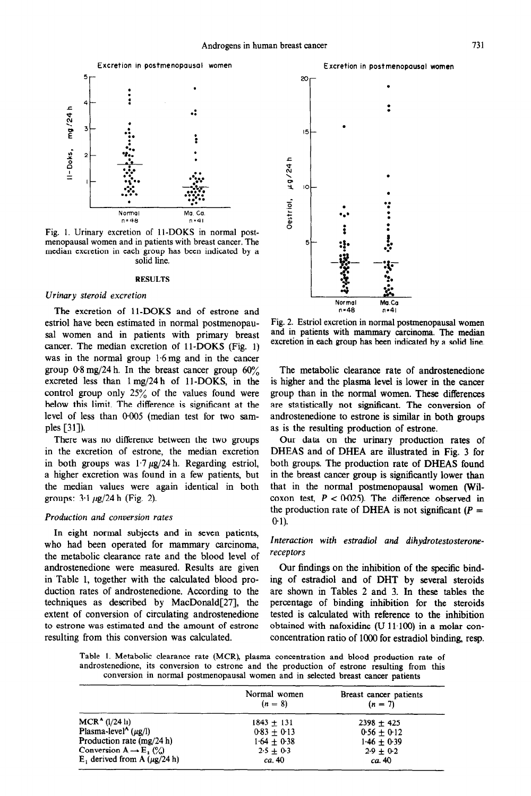

Fig. 1. Urinary excretion of ll-DOKS in normal postmenopausal women and in patients with breast cancer. The median excretion in each group has been indicated by a solid line.

#### RESULTS

## *Urinary steroid excretion*

The excretion of ll-DOKS and of estrone and estriol have been estimated in normal postmenopausal women and in patients with primary breast cancer. The median excretion of ll-DOKS (Fig. 1) was in the normal group 1.6mg and in the cancer group  $0.8 \text{ mg}/24$  h. In the breast cancer group  $60\%$ excreted less than  $1 \text{ mg}/24 \text{ h}$  of 11-DOKS, in the control group only 25% of the values found were below this limit. The difference is significant at the level of less than 0.005 (median test for two samples [31]).

There was no difference between the two groups in the excretion of estrone, the median excretion in both groups was  $1.7 \mu g/24$  h. Regarding estriol, a higher excretion was found in a few patients, but the median values were again identical in both groups:  $3.1 \mu g/24$  h (Fig. 2).

#### *Production and conversion rates*

In eight normal subjects and in seven patients, who had been operated for mammary carcinoma, the metabolic clearance rate and the blood level of androstenedione were measured. Results are given in Table 1, together with the calculated blood production rates of androstenedione. According to the techniques as described by MacDonald[27], the extent of conversion of circulating androstenedione to estrone was estimated and the amount of estrone resulting from this conversion was calculated.



Fig. 2. Estriol excretion in normal postmenopausal women and in patients with mammary carcinoma. The median excretion in each group has been indicated by a solid line.

The metabolic clearance rate of androstenedione is higher and the plasma level is lower in the cancer group than in the normal women. These differences are statistically not significant. The conversion of androstenedione to estrone is similar in both groups as is the resulting production of estrone.

Our data on the urinary production rates of DHEAS and of DHEA are illustrated in Fig. 3 for both groups. The production rate of DHEAS found in the breast cancer group is significantly lower than that in the normal postmenopausal women (Wilcoxon test,  $P < 0.025$ ). The difference observed in the production rate of DHEA is not significant  $(P =$  $0.1$ ).

## *Interaction with estradiol and dihydrotestosteronereceptors*

Our findings on the inhibition of the specific binding of estradiol and of DHT by several steroids are shown in Tables 2 and 3. In these tables the percentage of binding inhibition for the steroids tested is calculated with reference to the inhibition obtained with nafoxidine (U 11.100) in a molar conconcentration ratio of 1000 for estradiol binding, resp.

Table 1. Metabolic clearance rate (MCR), plasma concentration and blood production rate of androstenedione, its conversion to estrone and the production of estrone resulting from this conversion in normal postmenopausal women and in selected breast cancer patients

|                                       | Normal women<br>$(n = 8)$ | Breast cancer patients<br>$(n = 7)$ |
|---------------------------------------|---------------------------|-------------------------------------|
| $MCR^A$ (1/24 h)                      | $1843 + 131$              | $2398 + 425$                        |
| Plasma-level <sup>A</sup> $(\mu g/l)$ | $0.83 + 0.13$             | $0.56 + 0.12$                       |
| Production rate $(mg/24 h)$           | $1.64 + 0.38$             | $1.46 \pm 0.39$                     |
| Conversion $A \rightarrow E_1(\%)$    | $2.5 + 0.3$               | $2.9 \pm 0.2$                       |
| E, derived from A $(\mu g/24 h)$      | ca. 40                    | ca.40                               |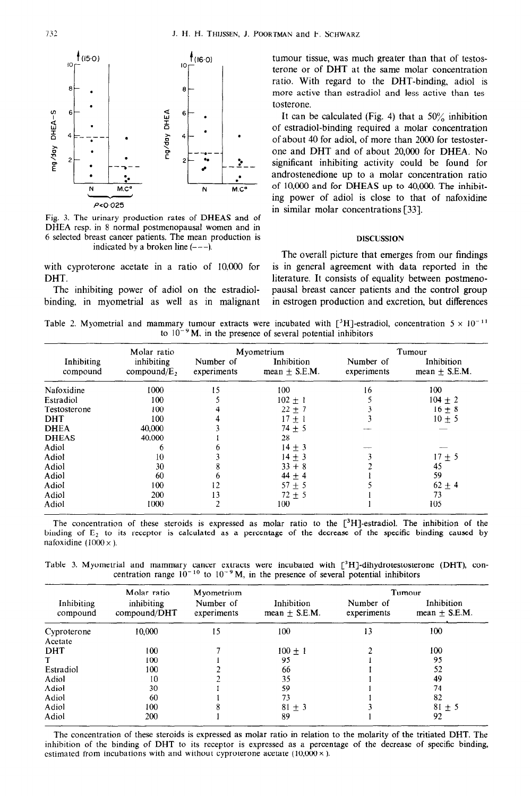

**Fig. 3.** The urinary production rates of DHEAS and of DHEA resp. in 8 normal postmenopausal women and in 6 selected breast cancer patients. The mean production is indicated by a broken line  $(---)$ .

with cyproterone acetate in a ratio of 10,000 for DHT.

The inhibiting power of adiol on the estradiolbinding, in myometrial as well as in malignant tumour tissue, was much greater than that of testosterone or of DHT at the same molar concentration ratio. With regard to the DHT-binding, adiol is more active than estradiol and less active than testosterone.

It can be calculated (Fig. 4) that a  $50\%$  inhibition of estradiol-binding required a molar concentration of about 40 for adiol, of more than 2000 for testosterone and DHT and of about 20,000 for DHEA. No significant inhibiting activity could be found for androstenedione up to a molar concentration ratio of 10,000 and for DHEAS up to 40,000. The inhibiting power of adiol is close to that of nafoxidine in similar molar concentrations [33].

#### **DISCUSSION**

The overall picture that emerges from our findings is in general agreement with data reported in the literature. It consists of equality between postmenopausal breast cancer patients and the control group in estrogen production and excretion, but differences

Table 2. Myometrial and mammary tumour extracts were incubated with  $[^3H]$ -estradiol, concentration  $5 \times 10^{-11}$ to  $10^{-9}$  M, in the presence of several potential inhibitors

|                        | Molar ratio                   | Myometrium               |                                 | Tumour                   |                                 |
|------------------------|-------------------------------|--------------------------|---------------------------------|--------------------------|---------------------------------|
| Inhibiting<br>compound | inhibiting<br>compound/ $E_2$ | Number of<br>experiments | Inhibition<br>mean $\pm$ S.E.M. | Number of<br>experiments | Inhibition<br>mean $\pm$ S.E.M. |
| Nafoxidine             | 1000                          | 15                       | 100                             | 16                       | 100                             |
| Estradiol              | 100                           |                          | $102 \pm 1$                     |                          | $104 \pm 2$                     |
| Testosterone           | 100                           |                          | $22 + 7$                        |                          | $16 \pm 8$                      |
| <b>DHT</b>             | 100                           |                          | $17 \pm 1$                      |                          | $10 \pm 5$                      |
| <b>DHEA</b>            | 40,000                        |                          | $74 + 5$                        |                          |                                 |
| <b>DHEAS</b>           | 40.000                        |                          | 28                              |                          |                                 |
| Adiol                  | 6                             | n                        | $14 \pm 3$                      |                          |                                 |
| Adiol                  | 10                            |                          | $14 + 3$                        |                          | $17 + 5$                        |
| Adiol                  | 30                            | δ                        | $33 + 8$                        |                          | 45                              |
| Adiol                  | 60                            | o                        | $44 + 4$                        |                          | 59                              |
| Adiol                  | 100                           | 12                       | $57 + 5$                        |                          | $62 + 4$                        |
| Adiol                  | 200                           | 13                       | $72 + 5$                        |                          | 73                              |
| Adiol                  | 1000                          |                          | 100                             |                          | 105                             |

The concentration of these steroids is expressed as molar ratio to the [3H]-estradiol. The inhibition of the binding of  $E<sub>2</sub>$  to its receptor is calculated as a percentage of the decrease of the specific binding caused by nafoxidine  $(1000 \times)$ .

Table 3. Myometrial and mammary cancer extracts were incubated with  $\int_{0}^{3}H$ -dihydrotestosterone (DHT), concentration range  $10^{-10}$  to  $10^{-9}$  M, in the presence of several potential inhibitors

|                        | Molar ratio                | Myometrium               | Tumour                          |                          |                               |  |
|------------------------|----------------------------|--------------------------|---------------------------------|--------------------------|-------------------------------|--|
| Inhibiting<br>compound | inhibiting<br>compound/DHT | Number of<br>experiments | Inhibition<br>mean $\pm$ S.E.M. | Number of<br>experiments | Inhibition<br>$mean + S.E.M.$ |  |
| Cyproterone            | 10.000                     | 15                       | 100                             | 13                       | 100                           |  |
| Acetate                |                            |                          |                                 |                          |                               |  |
| <b>DHT</b>             | 100                        |                          | $100 + 1$                       |                          | 100                           |  |
| T                      | 100                        |                          | 95                              |                          | 95                            |  |
| Estradiol              | 100                        |                          | 66                              |                          | 52                            |  |
| Adiol                  | 10                         |                          | 35                              |                          | 49                            |  |
| Adiol                  | 30                         |                          | 59                              |                          | 74                            |  |
| Adiol                  | 60                         |                          | 73                              |                          | 82                            |  |
| Adiol                  | 100                        |                          | $81 + 3$                        |                          | $81 + 5$                      |  |
| Adiol                  | 200                        |                          | 89                              |                          | 92                            |  |

The concentration of these steroids is expressed as molar ratio in relation to the molarity of the tritiated DHT. The inhibition of the binding of DHT to its receptor is expressed as a percentage of the decrease of specific binding, estimated from incubations with and without cyproterone acetate  $(10,000 \times)$ .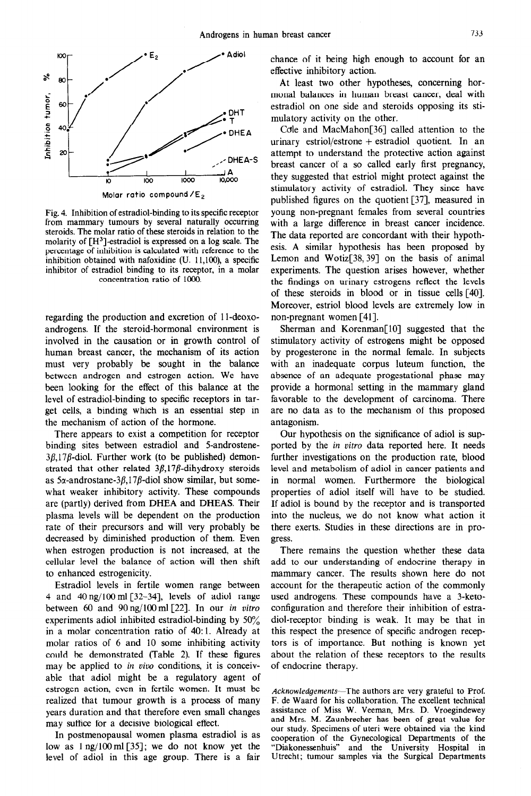

Fig. 4. Inhibition of estradiol-binding to its specific receptor from mammary tumours by several naturally occurring steroids. The molar ratio of these steroids in relation to the molarity of  $[H^3]$ -estradiol is expressed on a log scale. The percentage of inhibition is calculated with reference to the inhibition obtained with nafoxidine  $(U. 11,100)$ , a specific inhibitor of estradiol binding to its receptor, in a molar concentration ratio of 1000.

regarding the production and excretion of 1 l-deoxoandrogens. If the steroid-hormonal environment is involved in the causation or in growth control of human breast cancer, the mechanism of its action must very probably be sought in the balance between androgen and estrogen action. We have been looking for the effect of this balance at the level of estradiol-binding to specific receptors in target cells, a binding which is an essential step in the mechanism of action of the hormone.

There appears to exist a competition for receptor binding sites between estradiol and 5-androstene- $3\beta$ ,17 $\beta$ -diol. Further work (to be published) demonstrated that other related  $3\beta$ ,17 $\beta$ -dihydroxy steroids as  $5\alpha$ -androstane- $3\beta$ , 17 $\beta$ -diol show similar, but somewhat weaker inhibitory activity. These compounds are (partly) derived from DHEA and DHEAS. Their plasma levels will be dependent on the production rate of their precursors and will very probably be decreased by diminished production of them. Even when estrogen production is not increased, at the cellular level the balance of action will then shift to enhanced estrogenicity.

Estradiol levels in fertile women range between 4 and  $40 \text{ ng}/100 \text{ ml}$   $[32-34]$ , levels of adiol range between 60 and 90ng/lOOml[22]. In our in vitro experiments adiol inhibited estradiol-binding by 50% in a molar concentration ratio of 40: 1. Already at molar ratios of 6 and 10 some inhibiting activity could be demonstrated (Table 2). If these figures may be applied to *in viva* conditions, it is conceivable that adiol might be a regulatory agent of estrogen action, even in fertile women. It must be realized that tumour growth is a process of many years duration and that therefore even small changes may suffice for a decisive biological effect.

In postmenopausal women plasma estradiol is as low as 1 ng/lOOml[35]; we do not know yet the level of adiol in this age group. There is a fair

chance of it being high enough to account for an effective inhibitory action.

At least two other hypotheses, concerning hormonal balances in human breast cancer, deal with estradiol on one side and steroids opposing its stimulatory activity on the other.

Cole and MacMahon[36] called attention to the urinary estriol/estrone + estradiol quotient. In an attempt to understand the protective action against breast cancer of a so called early first pregnancy, they suggested that estriol might protect against the stimulatory activity of estradiol. They since have published figures on the quotient [37], measured in young non-pregnant females from several countries with a large difference in breast cancer incidence. The data reported are concordant with their hypothesis. A similar hypothesis has been proposed by Lemon and Wotiz[38,39] on the basis of animal experiments. The question arises however, whether the findings on urinary estrogens reflect the levels of these steroids in blood or in tissue cells [40]. Moreover, estriol blood levels are extremely low in non-pregnant women [41].

Sherman and Korenman<sup>[10]</sup> suggested that the stimulatory activity of estrogens might be opposed by progesterone in the normal female. In subjects with an inadequate corpus luteum function, the absence of an adequate progestational phase may provide a hormonal setting in the mammary gland favorable to the development of carcinoma. There are no data as to the mechanism of this proposed antagonism.

Our hypothesis on the significance of adiol is supported by the *in oitro* data reported here. It needs further investigations on the production rate, blood level and metabolism of adiol in cancer patients and in normal women. Furthermore the biological properties of adiol itself will have to be studied. If adiol is bound by the receptor and is transported into the nucleus, we do not know what action it there exerts. Studies in these directions are in progress.

There remains the question whether these data add to our understanding of endocrine therapy in mammary cancer. The results shown here do not account for the therapeutic action of the commonly used androgens. These compounds have a 3-ketoconfiguration and therefore their inhibition of estradiol-receptor binding is weak. It may be that in this respect the presence of specific androgen receptors is of importance. But nothing is known yet about the relation of these receptors to the results of endocrine therapy.

Acknowledgements-The authors are very grateful to Prof. F. de Waard for his collaboration. The excellent technical assistance of Miss W. Veeman, Mrs. D. Vroegindewey and Mrs. M. Zaunbrecher has been of great value for our study. Specimens of uteri were obtained via the kind cooperation of the Gynecological Departments of the "Diakonessenhuis" and the University Hospital in Utrecht; tumour samples via the Surgical Departments